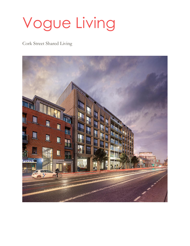# Vogue Living

Cork Street Shared Living

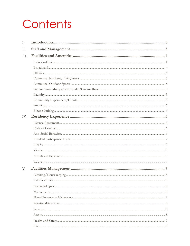## Contents

| I.   |  |
|------|--|
| П.   |  |
| III. |  |
|      |  |
|      |  |
|      |  |
|      |  |
|      |  |
|      |  |
|      |  |
|      |  |
|      |  |
|      |  |
| IV.  |  |
|      |  |
|      |  |
|      |  |
|      |  |
|      |  |
|      |  |
|      |  |
|      |  |
| V.   |  |
|      |  |
|      |  |
|      |  |
|      |  |
|      |  |
|      |  |
|      |  |
|      |  |
|      |  |
|      |  |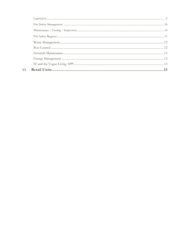VI.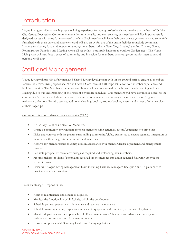### <span id="page-3-0"></span>**Introduction**

Vogue Living provides a new high-quality living experience for young professionals and workers in the heart of Dublin City Centre. Focused on Community interaction functionality and convenience, our members will live in purposefully designed spaces with areas for every need or whim. Each member will have their own private generously sized suite, fully furnished with an en-suite and kitchenette and will also enjoy full use of the onsite facilities to include communal kitchens for sharing food and interaction amongst members, private Gym, Yoga Studio, Laundry, Cinema/Games Room, private Function and Meeting rooms all set within beautifully landscaped outdoor Garden areas. The Vogue Living App will introduce a sense of community and inclusion for members, promoting community interaction and personal wellbeing.

### <span id="page-3-1"></span>Staff and Management

Vogue Living will provide a fully managed Shared Living development with on the ground staff to ensure all members receive the desired living experience. We will have a Core team of staff responsible for both member experience and building function. The Member experience team hours will be concentrated in the hours of early morning and late evening due to our understanding of the resident's work life schedules. Our members will have continuous access to the community App which will allow them access a number of services, from raising a maintenance ticket/organize mailroom collections/laundry service/additional cleaning/booking rooms/booking events and a host of other services at their fingertips.

### Community Relations Manager Responsibilities (CRM)

- Act as Key Point of Contact for Members.
- Create a community environment amongst members using activities/events/experiences to drive this.
- Liaise and connect with the greater surrounding community/clubs/businesses to ensure seamless integration of members within the greater community and vice versa.
- Resolve any member issues that may arise in accordance with member license agreement and management policies.
- Facilitate prospective member viewings as required and welcoming new members.
- Monitor tickets/bookings/complaints received via the member app and if required following up with the relevant teams.
- Liaise with Vogue Living Management Team including Facilities Manager/Reception and  $3^{rd}$  party service providers where appropriate.

#### Facility's Manager Responsibilities

- React to maintenance and repairs as required.
- Monitor the functionality of all facilities within the development.
- Schedule planned preventive maintenance and reactive maintenance.
- Schedule statutory checks, inspections or tests of equipment and machinery in line with legislation.
- Monitor departures via the app to schedule Room maintenance/checks in accordance with management policy's and to prepare room for a new occupant.
- Ensure compliance with Statutory Health and Safety regulations.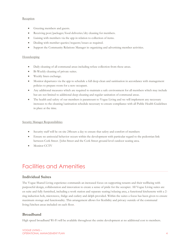#### **Reception**

- Greeting members and guests.
- Receiving post/packages/food deliveries/dry cleaning for members.
- Liaising with members via the app in relation to collection of items.
- Dealing with member queries/requests/issues as required.
- Support the Community Relations Manager in organizing and advertising member activities.

#### Housekeeping

- Daily cleaning of all communal areas including refuse collection from these areas.
- Bi-Weekly cleaning of private suites.
- Weekly linen exchange.
- Monitor departures via the app to schedule a full deep clean and sanitisation in accordance with management policies to prepare room for a new occupant.
- Any additional measures which are required to maintain a safe environment for all members which may include but are not limited to additional deep cleaning and regular sanitation of communal areas.
- The health and safety of our members is paramount to Vogue Living and we will implement any necessary increases to the cleaning/sanitsation schedule necessary to ensure compliance with all Public Health Guidelines in place at the time.

#### Security Manager Responsibilities

- Security staff will be on site 24hours a day to ensure that safety and comfort of members
- Ensure no antisocial behavior occurs within the development with particular regard to the pedestrian link between Cork Street /John Street and the Cork Street ground level outdoor seating area.
- Monitor CCTV

### <span id="page-4-0"></span>Facilities and Amenities

### <span id="page-4-1"></span>**Individual Suites**

The Vogue Shared Living experience commands an increased focus on supporting tenants and their wellbeing with purposeful design, collaboration and innovation to create a sense of pride for the occupier. All Vogue Living suites are en suite and fully furnished, including a work station and separate seating/relaxing area, a functional kitchenette with a 2 ring induction hob, microwave, fridge and cutlery and delph provided. Within the suites a focus has been given to ensure maximum storage and functionality. This arrangement allows for flexibility and privacy outside of the communal living/kitchen areas included on each floor.

### <span id="page-4-2"></span>**Broadband**

High speed broadband Wi-Fi will be available throughout the entire development at no additional cost to members.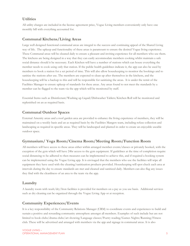### <span id="page-5-0"></span>**Utilities**

All utility charges are included in the license agreement price, Vogue Living members conveniently only have one monthly bill with everything accounted for.

### <span id="page-5-1"></span>**Communal Kitchens/Living Areas**

Large well designed functional communal areas are integral to the success and continuing appeal of the Shared Living way of life. The upkeep and functionality of these areas is paramount to ensure the desired Vogue living experience. These Communal areas will be cleaned daily to ensure a pleasant and inviting experience for all members who use them. The kitchens are being designed in a way that they can easily accommodate members cooking whilst maintain a safe social distance should it be necessary. Each Kitchen will have a number of stations which can house everything the member needs to cook using only that station. If the public health guidelines indicate it, the app can also be used by members to book a station for a set period of time. This will also allow housekeeping to monitor the bookings and to sanitize the stations after use. The members are expected to clean up after themselves in the kitchens, and the housekeeping will be a backup to this and will be responsible for sanitizing the areas. It is under the remit of the Facilities Manager to ensure upkeep of standards for these areas. Any areas found to not meet the standards by a member can be flagged to the team via the app which will be monitored by staff.

Essential Items such as Disinfectant/Washing up Liquid/Dishwasher Tablets/Kitchen Roll will be monitored and replenished on an as required basis.

### <span id="page-5-2"></span>**Communal Outdoor Spaces**

External Amenity areas and a roof garden area are provided to enhance the living experience of members, they will be maintained on a weekly basis and an as required basis by the Facilities Mangers team, including refuse collection and landscaping as required in specific areas. They will be landscaped and planted in order to create an enjoyable useable outdoor space.

### <span id="page-5-3"></span>**Gymnasium/ Yoga Room/Cinema Room/Meeting Room/Function Room**

All members will have access to these areas either within arranged member events/classes or privately booked, with the exception of the gym which will have 24hr access to the gym equipment. If guidelines at the time of completion require social distancing to be adhered to then measures can be implemented to achieve this, and if required a booking system can be implemented using the Vogue Living app. It is envisaged that the members who use the facilities will wipe all equipment they have used with the cleaning/sanitization products provided. Housekeeping will spot check each area at intervals during the day to ensure standards are met and cleaned and sanitized daily. Members can also flag any issues they find with the cleanliness of an area to the team via the app.

### <span id="page-5-4"></span>**Laundry**

A laundry room with wash/dry/Iron facilities is provided for members on a pay as you use basis. Additional services such as dry cleaning can be organized through the Vogue Living App or at reception.

### <span id="page-5-5"></span>**Community Experiences/Events**

It is a key responsibility of the Community Relations Manager (CRM) to coordinate events and experiences to build and sustain a positive and rewarding community atmosphere amongst all members. Examples of such include but are not limited to book clubs/drama clubs/art showing/Language classes/Poetry reading/Games Nights/Running/Fitness club. These will be advertised and arranged with members via the app and signage in communal areas. It is also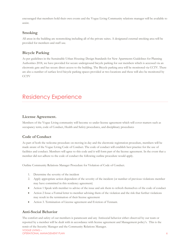encouraged that members hold their own events and the Vogue Living Community relations manager will be available to assist.

### <span id="page-6-0"></span>**Smoking**

All areas in the building are nonsmoking including all of the private suites. A designated external smoking area will be provided for members and staff use.

### <span id="page-6-1"></span>**Bicycle Parking**

As per guidelines in the Sustainable Urban Housing: Design Standards for New Apartments Guidelines for Planning Authorities 2018, we have provided for secure underground bicycle parking for our members which is accessed via an electronic gate and has secure direct access to the building. The Bicycle parking area will be monitored via CCTV. There are also a number of surface level bicycle parking spaces provided at two locations and these will also be monitored by CCTV

### <span id="page-6-2"></span>Residency Experience

### <span id="page-6-3"></span>**License Agreement.**

Members of the Vogue Living community will become so under license agreement which will cover matters such as occupancy term, code of Conduct, Health and Safety procedures, and disciplinary procedures

### <span id="page-6-4"></span>**Code of Conduct**

As part of both the welcome procedure on moving in day and the electronic registration procedure, members will be made aware of the Vogue Living Code of Conduct. The code of conduct will establish best practice for the use of facilities and conduct. Members will agree to this code and it will form part of the license agreement. In the event that a member did not adhere to the code of conduct the following outline procedure would apply.

Outline Community Relations Manager Procedure for Violation of Code of Conduct.

- 1. Determine the severity of the incident
- 2. Apply appropriate action dependent of the severity of the incident (or number of previous violations member may have committed in this residency agreement)
- Action 1 Speak with member to advise of the issue and ask them to refresh themselves of the code of conduct
- Action 2 Issue a Formal letter to member advising them of the violation and the risk that further violations may result in the termination of their license agreement
- Action 3. Termination of License agreement and Eviction of Tennant.

### <span id="page-6-5"></span>**Anti-Social Behavior**

VOGUE LIVING – OPERATIONAL MANAGEMENT PLAN 6 The comfort and safety of our members is paramount and any Antisocial behavior either observed by our team or reported by a member will be dealt with in accordance with license agreement and Management policy's. This is the remit of the Security Manager and the Community Relations Manager.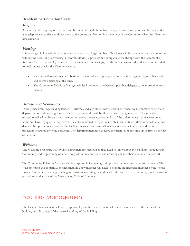### <span id="page-7-0"></span>**Resident participation Cycle**

### <span id="page-7-1"></span>**Enquiry**

We envisage the majority of enquiries will be online through the website or app; however reception will be equipped to take telephone enquiries and direct them to the online platform or link them in with the Community Relations Team for new enquiries.

### <span id="page-7-2"></span>**Viewing**

It is envisaged in line with international experience that a large number of bookings will be completed entirely online and without the need for prior viewing. However, viewing is possible and is organized via the app with the Community Relations Team. If possible, the team may facilitate walk in viewings, but this is not guaranteed, and it is recommended to book online or with the Team in advance.

- Viewings will occur on a need basis and organized at an appropriate time considering existing member needs and events occurring at the time.
- The Community Relations Manager will lead the tours, or where not possible, delegate to an appropriate team member.

### <span id="page-7-3"></span>**Arrivals and Departures**

During busy times, e.g. building launch/ Christmas and any other times determined "busy" by the number of arrivals/ departures booked on any given day via the app, a time slot will be allocated to arriving members. This time slot procedure will allow for each new member to receive the necessary attention of the welcome team to feel welcomed home and have any queries they have sufficiently answered. Departing members will notify of their intended departure date via the app and once received the facilities management team will manage out the maintenance and cleaning procedures required after the departure. The departing member can leave the premises at any time up to 1pm on the day of departure.

### <span id="page-7-4"></span>**Welcome**

The Welcome procedure will involve taking members through all they need to know about the Building Vogue Living Community and App, issuing of a hard copy of the welcome pack and ensuring any members queries are answered.

The Community Relations Manager will be responsible for issuing and updating the welcome packs for members. The Welcome pack will contain all the information a new member will need to become an integrated member of the Vogue Living Community including Building information, operating procedures, Health and safety procedures, Fire Evacuation procedures and a copy of the Vogue living Code of Conduct.

### <span id="page-7-5"></span>Facilities Management

The Facilities Management will have responsibility on the overall functionality and maintenance of the fabric of the building and all aspects of the internal working of the building.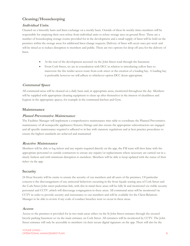### <span id="page-8-0"></span>**Cleaning/Housekeeping**

### <span id="page-8-1"></span>**Individual Units.**

Cleaned on a biweekly basis and linen exchange on a weekly basis. Outside of these bi-weekly times members will be responsible for emptying their own refuse from individual units to refuse storage area on ground floor. There are a number of housekeeping storage rooms provided for in the development and a small supply of linen will be held on the premises within the storage areas for additional linen change requests. Delivery of linen will occur once per week and will be timed as to reduce disruption to members and public. There are two options for drop off area for the delivery of linen.

- At the rear of the development accessed via the John Street road through the basement.
- From Cork Street, we are in consultation with DCC in relation to introducing yellow lines to transverse the fire tender access route from cork street or the creation of a loading bay. A loading bay is preferable however we will adhere to whichever option DCC deem appropriate.

### <span id="page-8-2"></span>**Communal Space**

All communal areas will be cleaned on a daily basis and, in appropriate areas, monitored throughout the day. Members will be supplied with appropriate cleaning equipment to clean up after themselves in the interest of cleanliness and hygiene in the appropriate spaces, for example in the communal kitchen and Gym.

### <span id="page-8-3"></span>**Maintenance**

### <span id="page-8-4"></span>**Planed Preventative Maintenance**

The Facilities Manager will implement a comprehensive maintenance time table to coordinate the Planned Preventative maintenance of all nonspecific appliances/fixtures/fittings and also ensure the appropriate subcontractors are engaged and all specific maintenance required is adhered to in line with statutory regulations and at best practice procedures to ensure the highest standards are achieved and maintained

### <span id="page-8-5"></span>**Reactive Maintenance**

Members will be able to log tickets and any repairs required directly on the app, the FM team will then liaise with the appropriate personnel or outside contractors to ensure any repairs/or replacements where necessary are carried out in a timely fashion and with minimum disruption to members. Members will be able to keep updated with the status of their ticket via the app.

### <span id="page-8-6"></span>**Security**

24 Hour Security will be onsite to ensure the security of our members and all users of the premises. Of particular concern is the discouragement of any antisocial behaviors occurring in the front façade seating area of Cork Street and the Cork Street John street pedestrian link, with this in mind these areas will be fully lit and monitored via visible security personnel and CCTV ,which will discourage congregation in these areas. All communal areas will be monitored via CCTV in order to provide security and reassurance to our members and will be available for the Client Relations Manager to be able to review if any code of conduct breaches were to occur in these areas.

### <span id="page-8-7"></span>**Access**

Access to the premises is provided for in two main areas either via the St John Street entrance through the secured bicycle parking basement or via the main entrance on Cork Street. All entrances will be monitored by CCTV. The John Street entrance will only be accessible to members via their secure digital signature on the app. There will also be the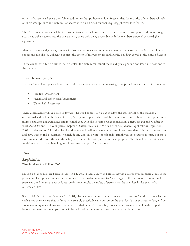option of a personal key card or fob in addition to the app however it is foreseen that the majority of members will rely on their smartphones and watches for access with only a small number requiring physical fobs/cards.

The Cork Street entrance will be the main entrance and will have the added security of the reception desk monitoring activity as well as access into the private living areas only being accessible with the members personal secure digital signature.

Members personal digital signatures will also be used to access communal amenity rooms such as the Gym and Laundry rooms and can also be utilized to control the extent of movement throughout the building as well as the times of access.

In the event that a fob or card is lost or stolen, the system can cancel the lost digital signature and issue and new one to the member.

### <span id="page-9-0"></span>**Health and Safety**

External Consultant specialists will undertake risk assessments in the following areas prior to occupancy of the building.

- Fire Risk Assessment
- Health and Safety Risk Assessment
- Water Risk Assessment.

These assessments will be actioned towards the build completion so as to allow the assessment of the building as operational and will be the basis of Safety Management plans which will be implemented to the best practice procedures in line regulation and guidelines and in compliance with all relevant legislation including Safety, Health and Welfare at work Act 2005 and The Workplace Chapter of Safety, Health and Welfare at Work(General Application) Regulations 2007. Under section 19 of the Health and Safety and welfare at work act an employer must identify hazards, assess risks and have written risk assessments to include any unusual or site-specific risks. Employers are required to carry out these assessments and record these in the safety statement. Staff will partake in the appropriate Health and Safety training and workshops, e.g. manual handling/machinery use as applys for their role.

### <span id="page-9-1"></span>**Fire**

### <span id="page-9-2"></span>**Legislation Fire Services Act 1981 & 2003**

Section 18 (2) of the Fire Services Act, 1981 & 2003, places a duty on persons having control over premises used for the provision of sleeping accommodation to take all reasonable measures to: "guard against the outbreak of fire on such premises", and "ensure as far as is reasonably practicable, the safety of persons on the premises in the event of an outbreak of fire".

Section 18 (3) of the Fire Services Act, 1981, places a duty on every person on such premises to "conduct themselves in such a way as to ensure that as far as is reasonably practicable any person on the premises is not exposed to danger from fire as a consequence of any act or omission of that person". Fire Safety Policies and Procedures will be developed before the premises is occupied and will be included in the Members welcome pack and induction.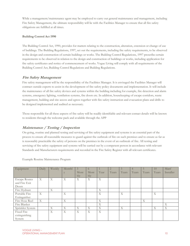While a management/maintenance agent may be employed to carry out general maintenance and management, including Fire Safety Management, the ultimate responsibility will lie with the Facilities Manager to ensure that all fire safety obligations are fulfilled at all times.

#### **Building Control Act 1990**

The Building Control Act, 1990, provides for matters relating to the construction, alteration, extension or change of use of buildings. The Building Regulations, 1997, set out the requirements, including fire safety requirements, to be observed in the design and construction of certain buildings or works. The Building Control Regulations, 1997 prescribe certain requirements to be observed in relation to the design and construction of buildings or works, including application for fire safety certificates and notice of commencement of works. Vogue Living will comply with all requirements of the Building Control Act, Building Control Regulations and Building Regulations.

### <span id="page-10-0"></span>**Fire Safety Management**

Fire safety management will be the responsibility of the Facilities Manager. It is envisaged the Facilities Manager will contract outside experts to assist in the development of fire safety policy documents and implementation. It will include the maintenance of all fire safety devices and systems within the building including for example, fire detection and alarm systems, emergency lighting, ventilation systems, fire doors etc. In addition, housekeeping of escape corridors, waste management, building and site access and egress together with fire safety instruction and evacuation plans and drills to be designed implemented and audited as necessary.

Those responsible for all these aspects of fire safety will be readily identifiable and relevant contact details will be known to residents through the welcome pack and available through the APP

### <span id="page-10-1"></span>**Maintenance / Testing / Inspection**

On-going, routine and planned testing and servicing of fire safety equipment and systems is an essential part of the process to ensure all reasonable measures to guard against the outbreak of fire on such premises and to ensure as far as is reasonably practicable the safety of persons on the premises in the event of an outbreak of fire. All testing and servicing of fire safety equipment and systems will be carried out by a competent person in accordance with relevant Standards and Manufacturers requirements and recorded in the Fire Safety Register with all relevant certificates.

Example Routine Maintenance Program

| Equipment            | Daily | Weekly | Monthl | $\mathfrak{Z}$ | $\Omega$ |      |       |       |       | 5     | 10    | Manf      |
|----------------------|-------|--------|--------|----------------|----------|------|-------|-------|-------|-------|-------|-----------|
|                      |       |        |        | Mont           | Mont     | Year | Years | Years | Years | Years | Years | Installer |
|                      |       |        |        | $h$ lv         | $h$ lv   |      |       |       |       |       |       |           |
| <b>Escape Routes</b> | X     | X      | X      | X              | X        | X    |       |       |       |       |       |           |
| and Fire Exit        |       |        |        |                |          |      |       |       |       |       |       |           |
| Doors                |       |        |        |                |          |      |       |       |       |       |       |           |
| Fire Hydrant         |       | X      |        |                |          | X    |       |       |       |       |       |           |
| Portable Fire        | X     |        | X      |                |          | X    |       | X     |       |       | X     |           |
| Extinguisher         |       |        |        |                |          |      |       |       |       |       |       |           |
| Fire Hose Reel       | X     |        | X      |                |          | X    |       |       |       | X     |       |           |
| Fire Blanket         |       |        |        |                |          | X    |       |       |       |       |       | X         |
| Sprinkler System     |       | X      | X      | X              | X        | X    |       | X     |       |       | X     | X         |
| Fixed Fire           |       | X      | X      | X              | X        | X    |       |       |       |       |       |           |
| extinguishing        |       |        |        |                |          |      |       |       |       |       |       |           |
| System               |       |        |        |                |          |      |       |       |       |       |       |           |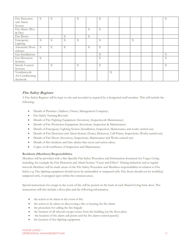| Fire Detection    | $\boldsymbol{\mathrm{X}}$ | X              |   | X                         |                           | X           |   |   |  | $\mathbf X$ |
|-------------------|---------------------------|----------------|---|---------------------------|---------------------------|-------------|---|---|--|-------------|
| and Alarm         |                           |                |   |                           |                           |             |   |   |  |             |
| System            |                           |                |   |                           |                           |             |   |   |  |             |
| Fire Mains (Wet   |                           |                |   |                           | X                         | X           |   |   |  |             |
| & Dry)            |                           |                |   |                           |                           |             |   |   |  |             |
| Fire Doors        |                           |                | X |                           | X                         |             |   |   |  |             |
| Emergency         | X                         | X              | X | $\boldsymbol{\mathrm{X}}$ |                           | X           |   | X |  |             |
| Lighting          |                           |                |   |                           |                           |             |   |   |  |             |
| Automatic Door    | $\mathbf{X}$              | X              | X |                           | $\boldsymbol{\mathrm{X}}$ | $\mathbf X$ |   |   |  |             |
| releases          |                           |                |   |                           |                           |             |   |   |  |             |
| Gas Installations |                           |                |   |                           |                           | $\mathbf X$ |   |   |  | X           |
| Gas Detection     | $\boldsymbol{\mathrm{X}}$ |                |   |                           |                           | $\mathbf X$ |   |   |  | X           |
| Systems           |                           |                |   |                           |                           |             |   |   |  |             |
| Smoke Control     |                           | $\overline{X}$ |   | X                         |                           | X           |   |   |  | $\mathbf X$ |
| Systems           |                           |                |   |                           |                           |             |   |   |  |             |
| Ventilation &     |                           |                |   |                           |                           |             | X |   |  |             |
| Air-Conditioning  |                           |                |   |                           |                           |             |   |   |  |             |
| ductwork          |                           |                |   |                           |                           |             |   |   |  |             |

### <span id="page-11-0"></span>**Fire Safety Register**

A Fire Safety Register will be kept on site and recorded as required by a designated staff member. This will include the following;

- Details of Premises (Address, Owner, Management Company)
- Fire Safety Training Records
- Details of Fire Fighting Equipment (Inventory, Inspection & Maintenance)
- Details of Fire Protection Equipment (Inventory, Inspection & Maintenance)
- Details of Emergency Lighting System (Installation, Inspection, Maintenance and works carried out)
- Details of Fire Detection and Alarm System (Zones, Detectors, Call Points, Inspections, Works carried out)
- Details of Fire Doors (Inventory, Inspections, Maintenance and Works carried out)
- Details of fire incidents and false alarms that occur and action taken.
- Copies of all certificates of Inspection and Maintenance.

### **Residents (Members) Responsibilities**

Members will be provided with a Site-Specific Fire Safety Procedure and Information document for Vogue Living including, for example the Fire Detection and Alarm System "Cause and Effect". During induction and at regular intervals Members will be made aware of the Fire Safety Procedure and Members responsibilities in relation to Fire Safety e.g. Fire-fighting equipment should never be mishandled or tampered with. Fire doors should not be modified, tampered with, or propped open within the common areas.

Special instructions for escape in the event of fire will be posted on the back of each Shared Living Suite door. The instructions will also include a floor plan and the following information:

- the action to be taken in the event of fire
- the action to be taken on discovering a fire or hearing the fire alarm
- the procedure for calling the fire brigade
- the location of all relevant escape routes from the building (on the floor plan)
- the location of fire alarm call points and the fire alarm control panel(s)
- the location of fire-fighting equipment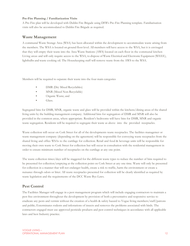#### **Pre-Fire Planning / Familiarization Visits**

A Pre-Fire plan will be developed with Dublin Fire Brigade using DFB's Pre-Fire Planning template. Familiarisation visits will also be accommodated to Dublin Fire Brigade as required.

### <span id="page-12-0"></span>**Waste Management**

A communal Waste Storage Area (WSA) has been allocated within the development to accommodate waste arising from the members. The WSA is located on ground floor level. All members will have access to the WSA, but it is envisaged that they will empty their waste into the Area Waste Stations (AWS) located on each floor in the communal kitchen Living areas and will only require access to the WSA, to dispose of Waste Electrical and Electronic Equipment (WEEE), lightbulbs and waste cooking oil. The Housekeeping staff will remove waste from the AWS to the WSA.

Members will be required to separate their waste into the four main categories

- DMR (Dry Mixed Recyclables)
- MNR (Mixed Non-Recyclable)
- Organic Waste; and
- Glass.

Segregated bins for DMR, MNR, organic waste and glass will be provided within the kitchens/dining areas of the shared living units by the building management company. Additional bins for segregation of DMR and MNR will also be provided in the common areas, where appropriate. Resident's bedrooms will have bins for DMR, MNR and organic waste segregation. Residents will be required to segregate their waste as above into the provided receptacles.

Waste collection will occur on Cork Street for all of the developments waste receptacles. The facilities managemer or waste management company (depending on the agreement) will be responsible for conveying waste receptacles from the shared living and office WSAs to the curtilage for collection. Retail and food & beverage units will be responsible for moving their own waste to Cork Street for collection but will occur in consultation with the residential management in order to ensure minimum number of receptacles on the curtilage at any one point.

The waste collection times/days will be staggered for the different waste types to reduce the number of bins required to be presented for collection/emptying at the collection point on Cork Street at any one time. Waste will only be presented for collection in a manner that will not endanger health, create a risk to traffic, harm the environment or create a nuisance through odors or litter. All waste receptacles presented for collection will be clearly identified as required by waste legislation and the requirements of the DCC Waste Bye-Laws.

### <span id="page-12-1"></span>**Pest Control**

The Facilities Manager will engage in a pest management program which will include engaging contractors to maintain a pest free environment throughout the development by provision of both a preventative and responsive service to eradicate any pests and vermin without the creation of a health & safety hazard to Vogue living members/staff/patrons and public; Exterminates rodents and infestations of insects and removes the problems associated with birds. The contractors engaged must use approved pesticide products and pest control techniques in accordance with all applicable laws and best Industry practice.